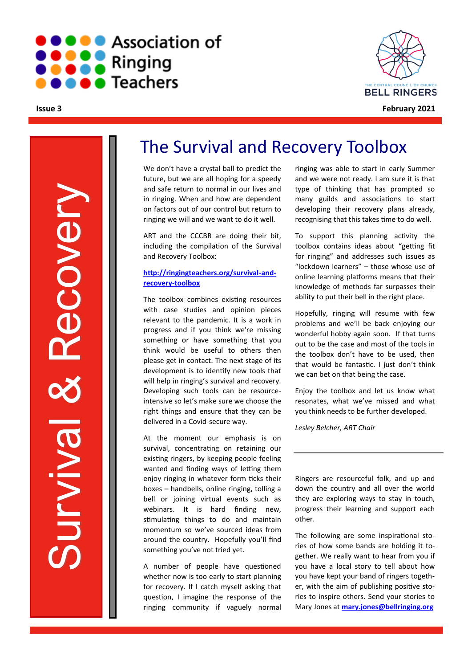

**Issue 3**



**February 2021**

Survival & Recovery **ABCOVEN** Urvival

# The Survival and Recovery Toolbox

We don't have a crystal ball to predict the future, but we are all hoping for a speedy and safe return to normal in our lives and in ringing. When and how are dependent on factors out of our control but return to ringing we will and we want to do it well.

ART and the CCCBR are doing their bit, including the compilation of the Survival and Recovery Toolbox:

#### **[http://ringingteachers.org/survival](http://ringingteachers.org/survival-and-recovery-toolbox)-and[recovery](http://ringingteachers.org/survival-and-recovery-toolbox)-toolbox**

The toolbox combines existing resources with case studies and opinion pieces relevant to the pandemic. It is a work in progress and if you think we're missing something or have something that you think would be useful to others then please get in contact. The next stage of its development is to identify new tools that will help in ringing's survival and recovery. Developing such tools can be resourceintensive so let's make sure we choose the right things and ensure that they can be delivered in a Covid-secure way.

At the moment our emphasis is on survival, concentrating on retaining our existing ringers, by keeping people feeling wanted and finding ways of letting them enjoy ringing in whatever form ticks their boxes – handbells, online ringing, tolling a bell or joining virtual events such as webinars. It is hard finding new, stimulating things to do and maintain momentum so we've sourced ideas from around the country. Hopefully you'll find something you've not tried yet.

A number of people have questioned whether now is too early to start planning for recovery. If I catch myself asking that question, I imagine the response of the ringing community if vaguely normal

ringing was able to start in early Summer and we were not ready. I am sure it is that type of thinking that has prompted so many guilds and associations to start developing their recovery plans already, recognising that this takes time to do well.

To support this planning activity the toolbox contains ideas about "getting fit for ringing" and addresses such issues as "lockdown learners" – those whose use of online learning platforms means that their knowledge of methods far surpasses their ability to put their bell in the right place.

Hopefully, ringing will resume with few problems and we'll be back enjoying our wonderful hobby again soon. If that turns out to be the case and most of the tools in the toolbox don't have to be used, then that would be fantastic. I just don't think we can bet on that being the case.

Enjoy the toolbox and let us know what resonates, what we've missed and what you think needs to be further developed.

*Lesley Belcher, ART Chair*

Ringers are resourceful folk, and up and down the country and all over the world they are exploring ways to stay in touch, progress their learning and support each other.

The following are some inspirational stories of how some bands are holding it together. We really want to hear from you if you have a local story to tell about how you have kept your band of ringers together, with the aim of publishing positive stories to inspire others. Send your stories to Mary Jones at **[mary.jones@bellringing.org](mailto:mary.jones@bellringing.org)**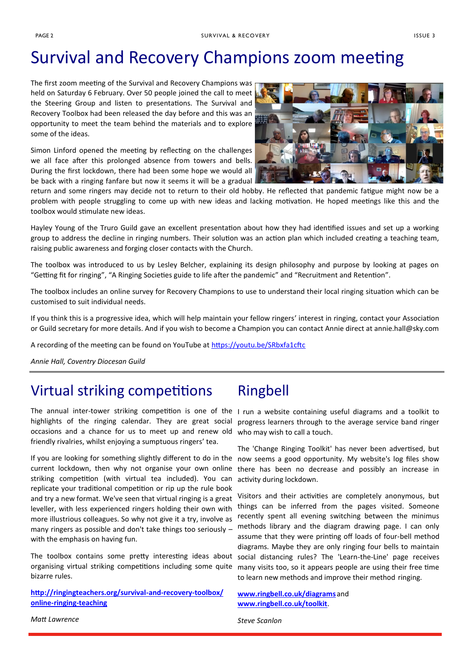# Survival and Recovery Champions zoom meeting

The first zoom meeting of the Survival and Recovery Champions was held on Saturday 6 February. Over 50 people joined the call to meet the Steering Group and listen to presentations. The Survival and Recovery Toolbox had been released the day before and this was an opportunity to meet the team behind the materials and to explore some of the ideas.

Simon Linford opened the meeting by reflecting on the challenges we all face after this prolonged absence from towers and bells. During the first lockdown, there had been some hope we would all be back with a ringing fanfare but now it seems it will be a gradual



return and some ringers may decide not to return to their old hobby. He reflected that pandemic fatigue might now be a problem with people struggling to come up with new ideas and lacking motivation. He hoped meetings like this and the toolbox would stimulate new ideas.

Hayley Young of the Truro Guild gave an excellent presentation about how they had identified issues and set up a working group to address the decline in ringing numbers. Their solution was an action plan which included creating a teaching team, raising public awareness and forging closer contacts with the Church.

The toolbox was introduced to us by Lesley Belcher, explaining its design philosophy and purpose by looking at pages on "Getting fit for ringing", "A Ringing Societies guide to life after the pandemic" and "Recruitment and Retention".

The toolbox includes an online survey for Recovery Champions to use to understand their local ringing situation which can be customised to suit individual needs.

If you think this is a progressive idea, which will help maintain your fellow ringers' interest in ringing, contact your Association or Guild secretary for more details. And if you wish to become a Champion you can contact Annie direct at annie.hall@sky.com

A recording of the meeting can be found on YouTube at <https://youtu.be/SRbxfa1cftc>

*Annie Hall, Coventry Diocesan Guild*

# Virtual striking competitions

The annual inter-tower striking competition is one of the I run a website containing useful diagrams and a toolkit to highlights of the ringing calendar. They are great social occasions and a chance for us to meet up and renew old who may wish to call a touch. friendly rivalries, whilst enjoying a sumptuous ringers' tea.

If you are looking for something slightly different to do in the current lockdown, then why not organise your own online striking competition (with virtual tea included). You can replicate your traditional competition or rip up the rule book and try a new format. We've seen that virtual ringing is a great leveller, with less experienced ringers holding their own with more illustrious colleagues. So why not give it a try, involve as many ringers as possible and don't take things too seriously – with the emphasis on having fun.

The toolbox contains some pretty interesting ideas about organising virtual striking competitions including some quite bizarre rules.

**[http://ringingteachers.org/survival](http://ringingteachers.org/survival-and-recovery-toolbox/online-ringing-teaching)-and-recovery-toolbox/ online-ringing-[teaching](http://ringingteachers.org/survival-and-recovery-toolbox/online-ringing-teaching)**

## Ringbell

progress learners through to the average service band ringer

The 'Change Ringing Toolkit' has never been advertised, but now seems a good opportunity. My website's log files show there has been no decrease and possibly an increase in activity during lockdown.

Visitors and their activities are completely anonymous, but things can be inferred from the pages visited. Someone recently spent all evening switching between the minimus methods library and the diagram drawing page. I can only assume that they were printing off loads of four-bell method diagrams. Maybe they are only ringing four bells to maintain social distancing rules? The 'Learn-the-Line' page receives many visits too, so it appears people are using their free time to learn new methods and improve their method-ringing.

**[www.ringbell.co.uk/diagrams](http://www.ringbell.co.uk/diagrams)** and **[www.ringbell.co.uk/toolkit](http://www.ringbell.co.uk/toolkit)**.

*Steve Scanlon*

*Matt Lawrence*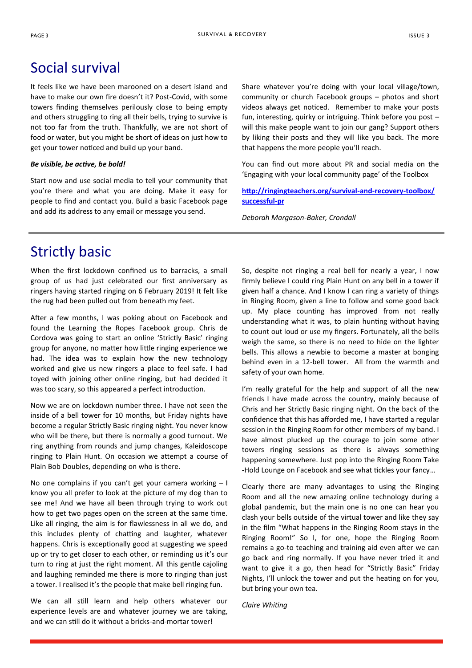### Social survival

It feels like we have been marooned on a desert island and have to make our own fire doesn't it? Post-Covid, with some towers finding themselves perilously close to being empty and others struggling to ring all their bells, trying to survive is not too far from the truth. Thankfully, we are not short of food or water, but you might be short of ideas on just how to get your tower noticed and build up your band.

#### *Be visible, be active, be bold!*

Start now and use social media to tell your community that you're there and what you are doing. Make it easy for people to find and contact you. Build a basic Facebook page and add its address to any email or message you send.

Share whatever you're doing with your local village/town, community or church Facebook groups – photos and short videos always get noticed. Remember to make your posts fun, interesting, quirky or intriguing. Think before you post – will this make people want to join our gang? Support others by liking their posts and they will like you back. The more that happens the more people you'll reach.

You can find out more about PR and social media on the 'Engaging with your local community page' of the Toolbox

**[http://ringingteachers.org/survival](http://ringingteachers.org/survival-and-recovery-toolbox/successful-pr)-and-recovery-toolbox/ [successful](http://ringingteachers.org/survival-and-recovery-toolbox/successful-pr)-pr**

*Deborah Margason-Baker, Crondall*

### Strictly basic

When the first lockdown confined us to barracks, a small group of us had just celebrated our first anniversary as ringers having started ringing on 6 February 2019! It felt like the rug had been pulled out from beneath my feet.

After a few months, I was poking about on Facebook and found the Learning the Ropes Facebook group. Chris de Cordova was going to start an online 'Strictly Basic' ringing group for anyone, no matter how little ringing experience we had. The idea was to explain how the new technology worked and give us new ringers a place to feel safe. I had toyed with joining other online ringing, but had decided it was too scary, so this appeared a perfect introduction.

Now we are on lockdown number three. I have not seen the inside of a bell tower for 10 months, but Friday nights have become a regular Strictly Basic ringing night. You never know who will be there, but there is normally a good turnout. We ring anything from rounds and jump changes, Kaleidoscope ringing to Plain Hunt. On occasion we attempt a course of Plain Bob Doubles, depending on who is there.

No one complains if you can't get your camera working – I know you all prefer to look at the picture of my dog than to see me! And we have all been through trying to work out how to get two pages open on the screen at the same time. Like all ringing, the aim is for flawlessness in all we do, and this includes plenty of chatting and laughter, whatever happens. Chris is exceptionally good at suggesting we speed up or try to get closer to each other, or reminding us it's our turn to ring at just the right moment. All this gentle cajoling and laughing reminded me there is more to ringing than just a tower. I realised it's the people that make bell ringing fun.

We can all still learn and help others whatever our experience levels are and whatever journey we are taking, and we can still do it without a bricks-and-mortar tower!

So, despite not ringing a real bell for nearly a year, I now firmly believe I could ring Plain Hunt on any bell in a tower if given half a chance. And I know I can ring a variety of things in Ringing Room, given a line to follow and some good back up. My place counting has improved from not really understanding what it was, to plain hunting without having to count out loud or use my fingers. Fortunately, all the bells weigh the same, so there is no need to hide on the lighter bells. This allows a newbie to become a master at bonging behind even in a 12-bell tower. All from the warmth and safety of your own home.

I'm really grateful for the help and support of all the new friends I have made across the country, mainly because of Chris and her Strictly Basic ringing night. On the back of the confidence that this has afforded me, I have started a regular session in the Ringing Room for other members of my band. I have almost plucked up the courage to join some other towers ringing sessions as there is always something happening somewhere. Just pop into the Ringing Room Take -Hold Lounge on Facebook and see what tickles your fancy…

Clearly there are many advantages to using the Ringing Room and all the new amazing online technology during a global pandemic, but the main one is no one can hear you clash your bells outside of the virtual tower and like they say in the film "What happens in the Ringing Room stays in the Ringing Room!" So I, for one, hope the Ringing Room remains a go-to teaching and training aid even after we can go back and ring normally. If you have never tried it and want to give it a go, then head for "Strictly Basic" Friday Nights, I'll unlock the tower and put the heating on for you, but bring your own tea.

*Claire Whiting*